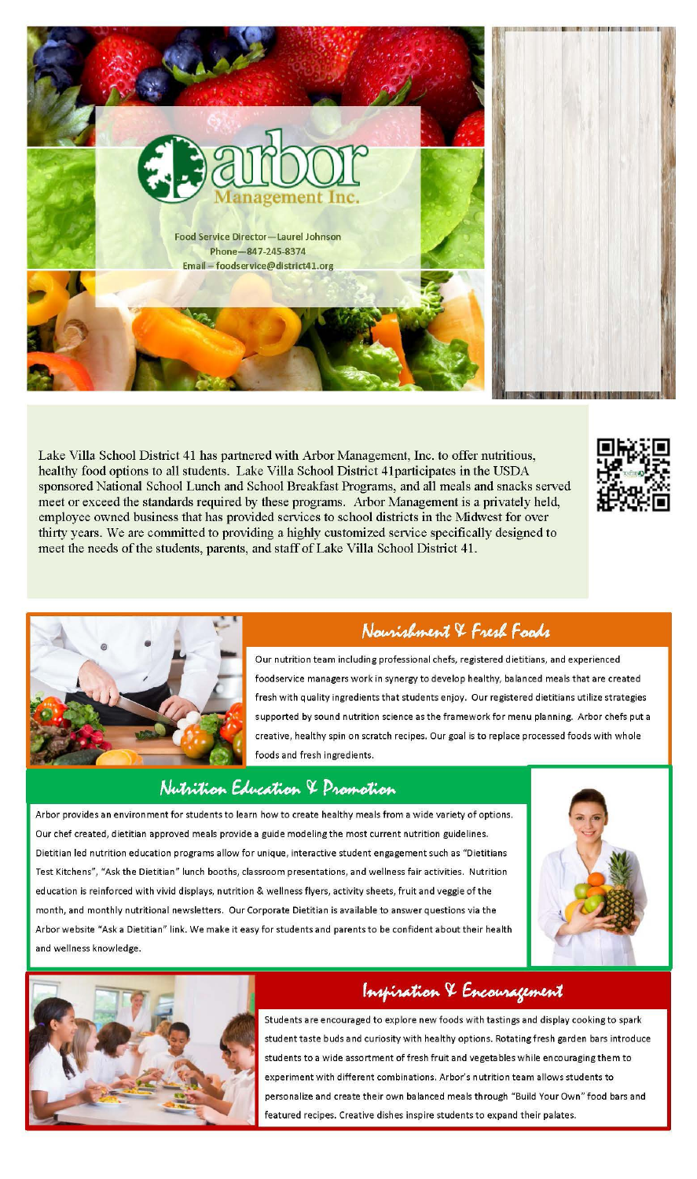

Lake Villa School District 41 has partnered with Arbor Management, Inc. to offer nutritious, healthy food options to all students. Lake Villa School District 41participates in the USDA sponsored National School Lunch and School Breakfast Programs, and all meals and snacks served meet or exceed the standards required by these programs. Arbor Management is a privately held, employee owned business that has provided services to school districts in the Midwest for over thirty years. We are committed to providing a highly customized service specifically designed to meet the needs of the students, parents, and staff of Lake Villa School District 41.





## Naurishment & Fresh Foods

Our nutrition team including professional chefs, registered dietitians, and experienced

food service managers work in synergy to develop healthy, balanced meals that are created fresh with quality ingredients that students enjoy. Our registered dietitians utilize strategies supported by sound nutrition science as the framework for menu planning. Arbor chefs put a creative, healthy spin on scratch recipes. Our goal is to replace processed foods with whole foods and fresh ingredients.

## Nutrition Education & Promotion

Arbor provides an environment for students to learn how to create healthy meals from a wide variety of options. Our chef created, dietitian approved meals provide a guide modeling the most current nutrition guidelines. Dietitian led nutrition education programs allow for unique, interactive student engagement such as "Dietitians Test Kitchens", "Ask the Dietitian" lunch booths, classroom presentations, and wellness fair activities. Nutrition education is reinforced with vivid displays, nutrition & wellness flyers, activity sheets, fruit and veggie of the month, and monthly nutritional newsletters. Our Corporate Dietitian is available to answer questions via the Arbor website "Ask a Dietitian" link. We make it easy for students and parents to be confident about their health and wellness knowledge.





## Inspiration & Encouragement

Students a re encouraged to exp lore new foods with tastings and dis play cooking to spark student taste buds and curiosity with healthy options. Rotating fresh garden bars introduce students to a wide assortment of fresh fruit and vegetables while encouraging them to experiment with different combinations. Arbor's nutrition team allows students to personalize and create their own balanced meals th rough "Build Your Own" food bars and featured recipes. Creative dishes inspire students to expand their palates.